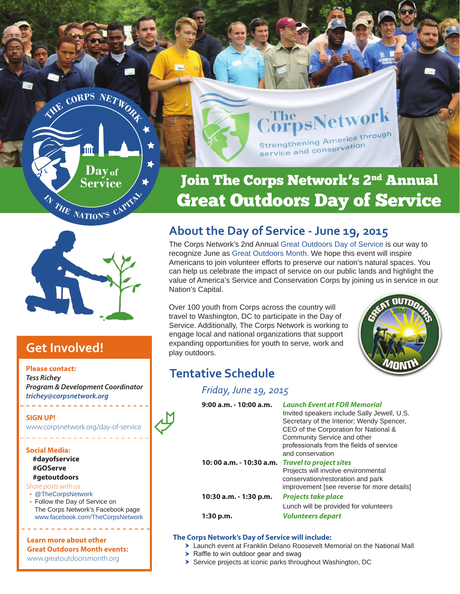

# Join The Corps Network's 2<sup>nd</sup> Annual Great Outdoors Day of Service

Strengthening Amore<br>service and conservation

**psNetwork** 

Strengthening America through



# **Get Involved!**

#### **Please contact:**

*Tess Richey Program & Development Coordinator [trichey@corpsnetwork.org](mailto:trichey%40corpsnetwork.org?subject=Great%20Outdoors%20Day%20of%20Service)* 

#### **SIGN UP!**

[www.corpsnetwork.org/day-of-service](http://www.corpsnetwork.org/day-of-service)

#### **Social Media:**

**#dayofservice #GOServe #getoutdoors**

#### *Share posts with us*

[@TheCorpsNetwork](https://twitter.com/TheCorpsNetwork) 

 Follow the Day of Service on The Corps Network's Facebook page [www.facebook.com/TheCorpsNetwork](https://www.facebook.com/TheCorpsNetwork)

#### **Learn more about other Great Outdoors Month events:**

www.greatoutdoorsmonth.org

# **About the Day of Service - June 19, 2015**

The Corps Network's 2nd Annual [Great Outdoors Day of Service](http://www.corpsnetwork.org/day-of-service) is our way to recognize June as [Great Outdoors Month](http://www.greatoutdoorsmonth.org/). We hope this event will inspire Americans to join volunteer efforts to preserve our nation's natural spaces. You can help us celebrate the impact of service on our public lands and highlight the value of America's Service and Conservation Corps by joining us in service in our Nation's Capital.

Over 100 youth from Corps across the country will travel to Washington, DC to participate in the Day of Service. Additionally, The Corps Network is working t[o](http://www.greatoutdoorsmonth.org/)  engage local and national organizations that support expanding opportunities for youth to serve, work and play outdoors.



# **Tentative Schedule**

R

### *Friday, June 19, 2015*

| $9:00$ a.m. - 10:00 a.m. | <b>Launch Event at FDR Memorial</b>         |
|--------------------------|---------------------------------------------|
|                          | Invited speakers include Sally Jewell, U.S. |
|                          | Secretary of the Interior; Wendy Spencer,   |
|                          | CEO of the Corporation for National &       |
|                          | Community Service and other                 |
|                          | professionals from the fields of service    |
|                          | and conservation                            |
| 10:00 a.m. - 10:30 a.m.  | <b>Travel to project sites</b>              |
|                          | Projects will involve environmental         |
|                          | conservation/restoration and park           |
|                          | improvement [see reverse for more details]  |
| 10:30 a.m. - 1:30 p.m.   | <b>Projects take place</b>                  |
|                          | Lunch will be provided for volunteers       |
| 1:30 p.m.                | Volunteers depart                           |
|                          |                                             |

#### **The Corps Network's Day of Service will include:**

- Launch event at Franklin Delano Roosevelt Memorial on the National Mall
- $\blacktriangleright$  Raffle to win outdoor gear and swag
- Service projects at iconic parks throughout Washington, DC